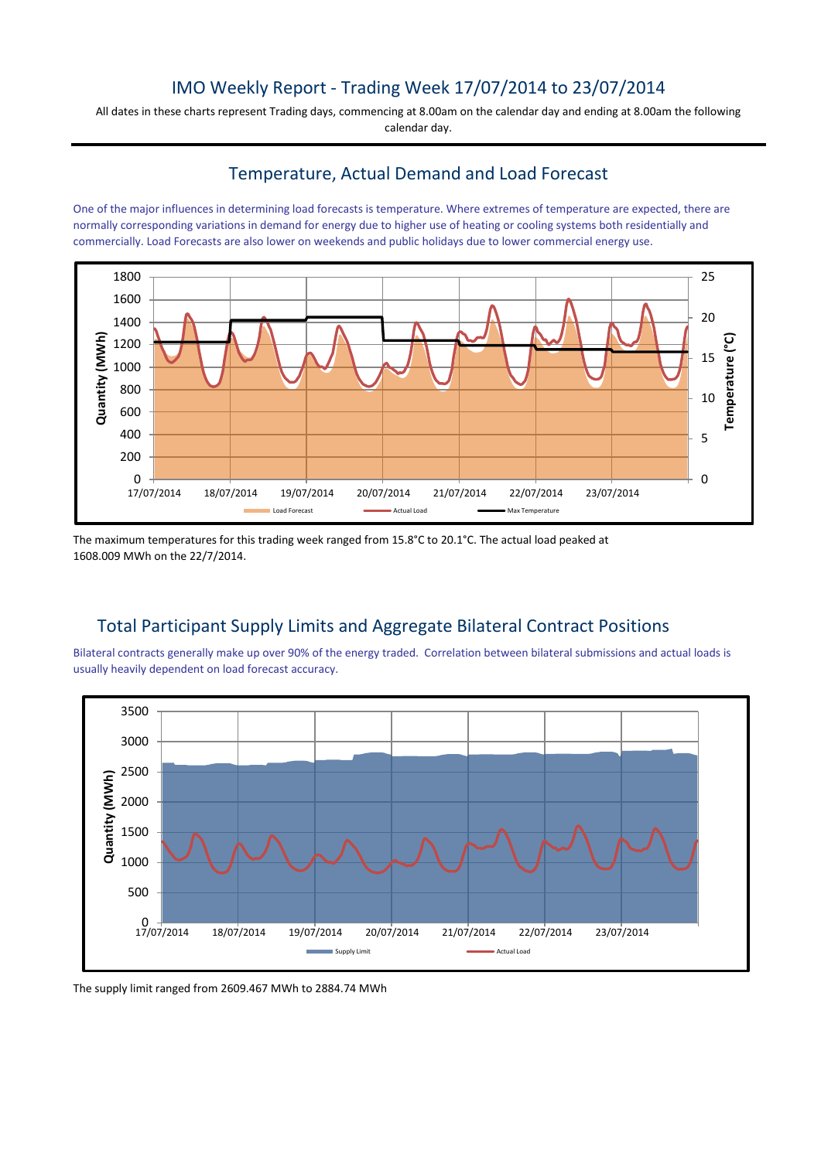## IMO Weekly Report - Trading Week 17/07/2014 to 23/07/2014

All dates in these charts represent Trading days, commencing at 8.00am on the calendar day and ending at 8.00am the following calendar day.

#### Temperature, Actual Demand and Load Forecast

One of the major influences in determining load forecasts is temperature. Where extremes of temperature are expected, there are normally corresponding variations in demand for energy due to higher use of heating or cooling systems both residentially and commercially. Load Forecasts are also lower on weekends and public holidays due to lower commercial energy use.



The maximum temperatures for this trading week ranged from 15.8°C to 20.1°C. The actual load peaked at 1608.009 MWh on the 22/7/2014.

# Total Participant Supply Limits and Aggregate Bilateral Contract Positions

Bilateral contracts generally make up over 90% of the energy traded. Correlation between bilateral submissions and actual loads is usually heavily dependent on load forecast accuracy.



The supply limit ranged from 2609.467 MWh to 2884.74 MWh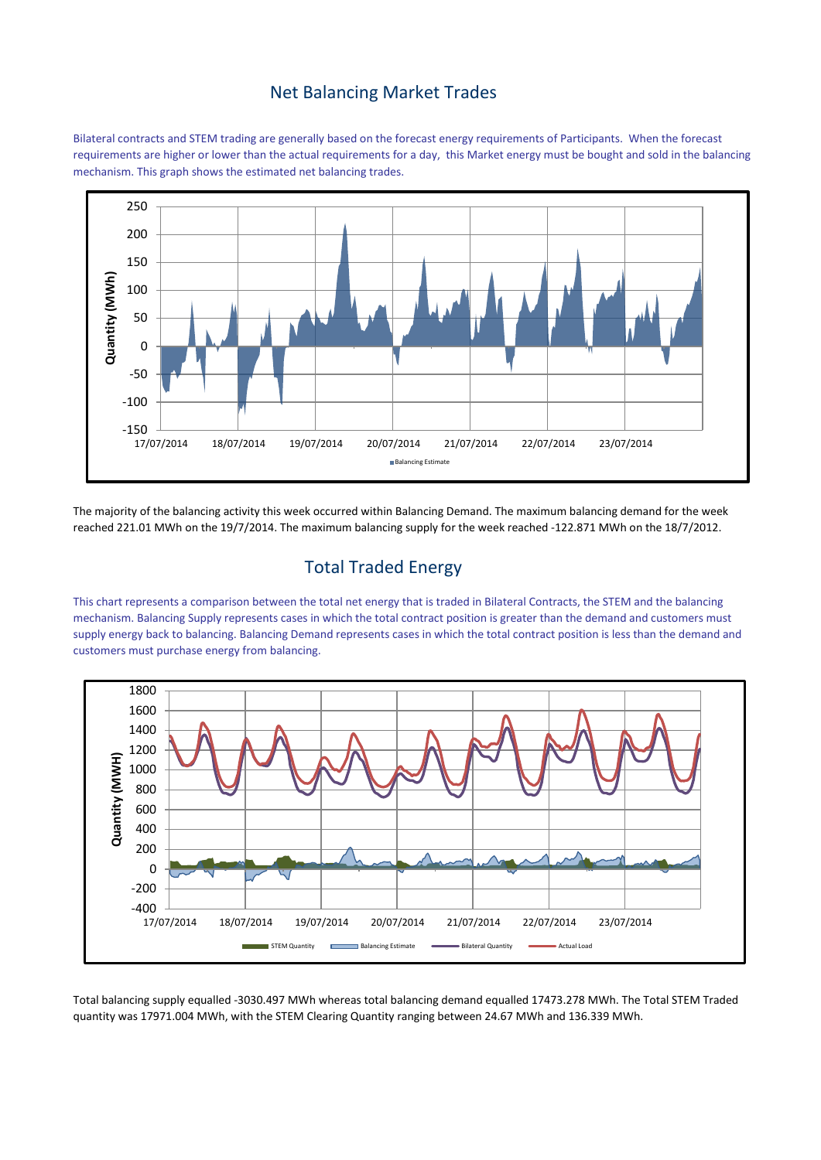#### Net Balancing Market Trades

Bilateral contracts and STEM trading are generally based on the forecast energy requirements of Participants. When the forecast requirements are higher or lower than the actual requirements for a day, this Market energy must be bought and sold in the balancing mechanism. This graph shows the estimated net balancing trades.



The majority of the balancing activity this week occurred within Balancing Demand. The maximum balancing demand for the week reached 221.01 MWh on the 19/7/2014. The maximum balancing supply for the week reached -122.871 MWh on the 18/7/2012.

# Total Traded Energy

This chart represents a comparison between the total net energy that is traded in Bilateral Contracts, the STEM and the balancing mechanism. Balancing Supply represents cases in which the total contract position is greater than the demand and customers must supply energy back to balancing. Balancing Demand represents cases in which the total contract position is less than the demand and customers must purchase energy from balancing.



Total balancing supply equalled -3030.497 MWh whereas total balancing demand equalled 17473.278 MWh. The Total STEM Traded quantity was 17971.004 MWh, with the STEM Clearing Quantity ranging between 24.67 MWh and 136.339 MWh.